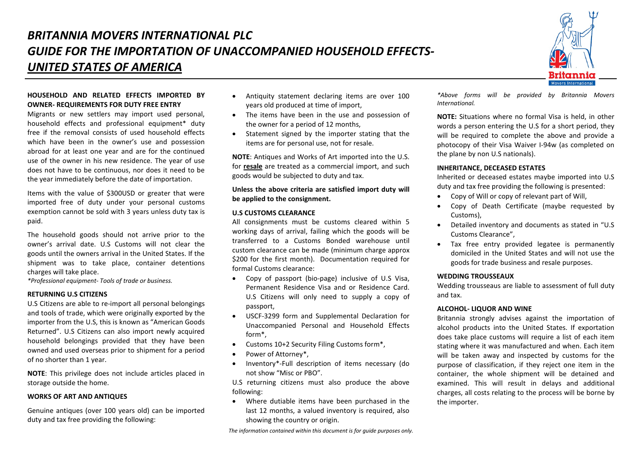# *BRITANNIA MOVERS INTERNATIONAL PLC GUIDE FOR THE IMPORTATION OF UNACCOMPANIED HOUSEHOLD EFFECTS-UNITED STATES OF AMERICA*



# **HOUSEHOLD AND RELATED EFFECTS IMPORTED BY OWNER- REQUIREMENTS FOR DUTY FREE ENTRY**

Migrants or new settlers may import used personal, household effects and professional equipment\* duty free if the removal consists of used household effects which have been in the owner's use and possession abroad for at least one year and are for the continued use of the owner in his new residence. The year of use does not have to be continuous, nor does it need to be the year immediately before the date of importation.

Items with the value of \$300USD or greater that were imported free of duty under your personal customs exemption cannot be sold with 3 years unless duty tax is paid.

The household goods should not arrive prior to the owner's arrival date. U.S Customs will not clear the goods until the owners arrival in the United States. If the shipment was to take place, container detentions charges will take place.

*\*Professional equipment- Tools of trade or business.*

## **RETURNING U.S CITIZENS**

U.S Citizens are able to re-import all personal belongings and tools of trade, which were originally exported by the importer from the U.S, this is known as "American Goods Returned". U.S Citizens can also import newly acquired household belongings provided that they have been owned and used overseas prior to shipment for a period of no shorter than 1 year.

**NOTE**: This privilege does not include articles placed in storage outside the home.

## **WORKS OF ART AND ANTIQUES**

Genuine antiques (over 100 years old) can be imported duty and tax free providing the following:

- Antiquity statement declaring items are over 100 years old produced at time of import,
- The items have been in the use and possession of the owner for a period of 12 months,
- Statement signed by the importer stating that the items are for personal use, not for resale.

**NOTE**: Antiques and Works of Art imported into the U.S. for **resale** are treated as a commercial import, and such goods would be subjected to duty and tax.

## **Unless the above criteria are satisfied import duty will be applied to the consignment.**

### **U.S CUSTOMS CLEARANCE**

All consignments must be customs cleared within 5 working days of arrival, failing which the goods will be transferred to a Customs Bonded warehouse until custom clearance can be made (minimum charge approx \$200 for the first month). Documentation required for formal Customs clearance:

- Copy of passport (bio-page) inclusive of U.S Visa, Permanent Residence Visa and or Residence Card. U.S Citizens will only need to supply a copy of passport,
- USCF-3299 form and Supplemental Declaration for Unaccompanied Personal and Household Effects form\*,
- Customs 10+2 Security Filing Customs form\*,
- Power of Attorney\*,
- Inventory\*-Full description of items necessary (do not show "Misc or PBO".

U.S returning citizens must also produce the above following:

• Where dutiable items have been purchased in the last 12 months, a valued inventory is required, also showing the country or origin.

*The information contained within this document is for guide purposes only.* 

*\*Above forms will be provided by Britannia Movers International.*

**NOTE:** Situations where no formal Visa is held, in other words a person entering the U.S for a short period, they will be required to complete the above and provide a photocopy of their Visa Waiver I-94w (as completed on the plane by non U.S nationals).

# **INHERITANCE, DECEASED ESTATES**

Inherited or deceased estates maybe imported into U.S duty and tax free providing the following is presented:

- Copy of Will or copy of relevant part of Will,
- Copy of Death Certificate (maybe requested by Customs),
- Detailed inventory and documents as stated in "U.S Customs Clearance",
- Tax free entry provided legatee is permanently domiciled in the United States and will not use the goods for trade business and resale purposes.

#### **WEDDING TROUSSEAUX**

Wedding trousseaus are liable to assessment of full duty and tax.

#### **ALCOHOL- LIQUOR AND WINE**

Britannia strongly advises against the importation of alcohol products into the United States. If exportation does take place customs will require a list of each item stating where it was manufactured and when. Each item will be taken away and inspected by customs for the purpose of classification, if they reject one item in the container, the whole shipment will be detained and examined. This will result in delays and additional charges, all costs relating to the process will be borne by the importer.